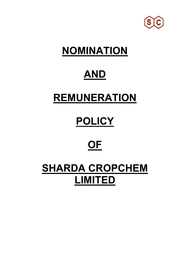

# **NOMINATION**

## **AND**

## **REMUNERATION**

## **POLICY**

## **OF**

### **SHARDA CROPCHEM LIMITED**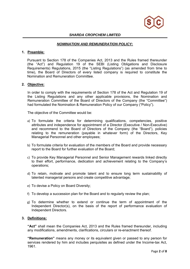

#### *SHARDA CROPCHEM LIMITED*

#### *NOMINATION AND REMUNERATION POLICY:*

#### **1. Preamble:**

Pursuant to Section 178 of the Companies Act, 2013 and the Rules framed thereunder (the "Act") and Regulation 19 of the SEBI (Listing Obligations and Disclosure Requirements) Regulations, 2015 (the "Listing Regulations") (as amended from time to time), the Board of Directors of every listed company is required to constitute the Nomination and Remuneration Committee.

#### **2. Objective:**

In order to comply with the requirements of Section 178 of the Act and Regulation 19 of the Listing Regulations and any other applicable provisions, the Nomination and Remuneration Committee of the Board of Directors of the Company (the "Committee") had formulated the Nomination & Remuneration Policy of our Company ("Policy").

The objective of the Committee would be:

- a) To formulate the criteria for determining qualifications, competencies, positive attributes and independence for appointment of a Director (Executive / Non-Executive) and recommend to the Board of Directors of the Company (the "Board"), policies relating to the remuneration (payable in whatever form) of the Directors, Key Managerial Personnel and other employees;
- b) To formulate criteria for evaluation of the members of the Board and provide necessary report to the Board for further evaluation of the Board;
- c) To provide Key Managerial Personnel and Senior Management rewards linked directly to their effort, performance, dedication and achievement relating to the Company's operations;
- d) To retain, motivate and promote talent and to ensure long term sustainability of talented managerial persons and create competitive advantage;
- e) To devise a Policy on Board Diversity;
- f) To develop a succession plan for the Board and to regularly review the plan;
- g) To determine whether to extend or continue the term of appointment of the Independent Director(s), on the basis of the report of performance evaluation of Independent Directors.

#### **3. Definitions:**

**"Act"** shall mean the Companies Act, 2013 and the Rules framed thereunder, including any modifications, amendments, clarifications, circulars or re-enactment thereof.

**"Remuneration"** means any money or its equivalent given or passed to any person for services rendered by him and includes perquisites as defined under the Income-tax Act, 1961.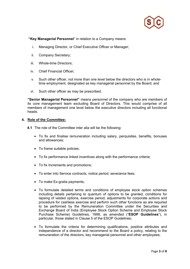

 **"Key Managerial Personnel**" in relation to a Company means:

- i. Managing Director, or Chief Executive Officer or Manager;
- ii. Company Secretary;
- iii. Whole-time Directors;
- iv. Chief Financial Officer;
- v. Such other officer, not more than one level below the directors who is in wholetime employment, designated as key managerial personnel by the Board; and
- vi. Such other officer as may be prescribed.

**"Senior Managerial Personnel"** means personnel of the company who are members of its core management team excluding Board of Directors. This would comprise of all members of management one level below the executive directors including all functional heads.

#### **4. Role of the Committee:**

- **4.1** The role of the Committee inter alia will be the following:
	- To fix and finalise remuneration including salary, perquisites, benefits, bonuses and allowances;
	- To frame suitable policies;
	- To fix performance linked incentives along with the performance criteria;
	- To fix Increments and promotions;
	- To enter into Service contracts, notice period, severance fees;
	- To make Ex-gratia payments;
	- To formulate detailed terms and conditions of employee stock option schemes including details pertaining to quantum of options to be granted, conditions for lapsing of vested options, exercise period, adjustments for corporate actions and procedure for cashless exercise and perform such other functions as are required to be performed by the Remuneration Committee under the Securities and Exchange Board of India (Employee Stock Option Scheme and Employee Stock Purchase Scheme) Guidelines, 1999, as amended ("**ESOP Guidelines**"), in particular, those stated in Clause 5 of the ESOP Guidelines;
	- To formulate the criteria for determining qualifications, positive attributes and independence of a director and recommend to the Board a policy, relating to the remuneration of the directors, key managerial personnel and other employees;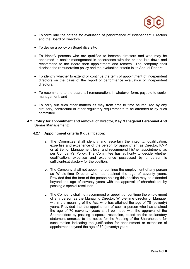

- To formulate the criteria for evaluation of performance of Independent Directors and the Board of Directors;
- To devise a policy on Board diversity;
- To Identify persons who are qualified to become directors and who may be appointed in senior management in accordance with the criteria laid down and recommend to the Board their appointment and removal. The company shall disclose the remuneration policy and the evaluation criteria in its Annual Report;
- To identify whether to extend or continue the term of appointment of independent directors on the basis of the report of performance evaluation of independent directors;
- To recommend to the board, all remuneration, in whatever form, payable to senior management; and
- To carry out such other matters as may from time to time be required by any statutory, contractual or other regulatory requirements to be attended to by such committee.

#### **4.2 Policy for appointment and removal of Director, Key Managerial Personnel And Senior Management:**

#### **4.2.1 Appointment criteria & qualification:**

- **a.** The Committee shall identify and ascertain the integrity, qualification, expertise and experience of the person for appointment as Director, KMP or at Senior Management level and recommend his/her appointment, as per Company's Policy. The Committee has authority to decide whether qualification, expertise and experience possessed by a person is sufficient/satisfactory for the position.
- **b.** The Company shall not appoint or continue the employment of any person as Whole-time Director who has attained the age of seventy years. Provided that the term of the person holding this position may be extended beyond the age of seventy years with the approval of shareholders by passing a special resolution.
- **c.** The Company shall not recommend or appoint or continue the employment of any person as the Managing Director, Whole-time director or Manager within the meaning of the Act, who has attained the age of 70 (seventy) years. Provided that the appointment of such a person who has attained the age of 70 (seventy) years shall be made with the approval of the Shareholders by passing a special resolution, based on the explanatory statement annexed to the notice for the Meeting of the Shareholders for such motion indicating the justification for appointment or extension of appointment beyond the age of 70 (seventy) years.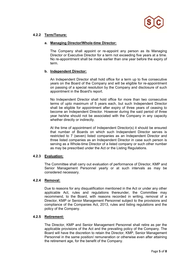

#### **4.2.2 Term/Tenure:**

#### **a. Managing Director/Whole-time Director:**

The Company shall appoint or re-appoint any person as its Managing Director or Executive Director for a term not exceeding five years at a time. No re-appointment shall be made earlier than one year before the expiry of term.

#### **b. Independent Director:**

An Independent Director shall hold office for a term up to five consecutive years on the Board of the Company and will be eligible for re-appointment on passing of a special resolution by the Company and disclosure of such appointment in the Board's report.

No Independent Director shall hold office for more than two consecutive terms of upto maximum of 5 years each, but such Independent Director shall be eligible for appointment after expiry of three years of ceasing to become an Independent Director. However during the said period of three year he/she should not be associated with the Company in any capacity whether directly or indirectly.

At the time of appointment of Independent Director(s) it should be ensured that number of Boards on which such Independent Director serves is restricted to 7 (seven) listed companies as an Independent Director and three listed companies as an Independent Director in case such person is serving as a Whole-time Director of a listed company or such other number as may be prescribed under the Act or the Listing Regulations.

#### **4.2.3 Evaluation:**

The Committee shall carry out evaluation of performance of Director, KMP and Senior Management Personnel yearly or at such intervals as may be considered necessary.

#### **4.2.4 Removal:**

Due to reasons for any disqualification mentioned in the Act or under any other applicable Act, rules and regulations thereunder, the Committee may recommend, to the Board, with reasons recorded in writing, removal of a Director, KMP or Senior Management Personnel subject to the provisions and compliance of the Companies Act, 2013, rules and listing regulations and the policy of the Company.

#### **4.2.5 Retirement:**

The Director, KMP and Senior Management Personnel shall retire as per the applicable provisions of the Act and the prevailing policy of the Company. The Board will have the discretion to retain the Director, KMP, Senior Management Personnel in the same position/ remuneration or otherwise even after attaining the retirement age, for the benefit of the Company.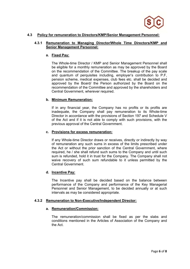

#### **4.3 Policy for remuneration to Directors/KMP/Senior Management Personnel:**

#### **4.3.1 Remuneration to Managing Director/Whole Time Directors/KMP and Senior Management Personnel:**

#### **a. Fixed Pay:**

The Whole-time Director / KMP and Senior Management Personnel shall be eligible for a monthly remuneration as may be approved by the Board on the recommendation of the Committee. The breakup of the pay scale and quantum of perquisites including, employer's contribution to P.F, pension scheme, medical expenses, club fees etc. shall be decided and approved by the Board/ the Person authorized by the Board on the recommendation of the Committee and approved by the shareholders and Central Government, wherever required.

#### **b. Minimum Remuneration:**

If in any financial year, the Company has no profits or its profits are inadequate, the Company shall pay remuneration to its Whole-time Director in accordance with the provisions of Section 197 and Schedule V of the Act and if it is not able to comply with such provisions, with the previous approval of the Central Government.

#### **c. Provisions for excess remuneration:**

If any Whole-time Director draws or receives, directly or indirectly by way of remuneration any such sums in excess of the limits prescribed under the Act or without the prior sanction of the Central Government, where required, he / she shall refund such sums to the Company and until such sum is refunded, hold it in trust for the Company. The Company shall not waive recovery of such sum refundable to it unless permitted by the Central Government.

#### **d. Incentive Pay:**

The Incentive pay shall be decided based on the balance between performance of the Company and performance of the Key Managerial Personnel and Senior Management, to be decided annually or at such intervals as may be considered appropriate.

#### **4.3.2 Remuneration to Non-Executive/Independent Director:**

#### **a. Remuneration/Commission:**

The remuneration/commission shall be fixed as per the slabs and conditions mentioned in the Articles of Association of the Company and the Act.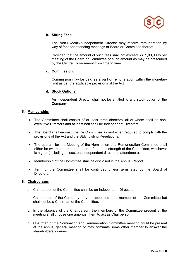

#### **b. Sitting Fees:**

The Non-Executive/Independent Director may receive remuneration by way of fees for attending meetings of Board or Committee thereof.

Provided that the amount of such fees shall not exceed Rs. 1,00,000/- per meeting of the Board or Committee or such amount as may be prescribed by the Central Government from time to time.

#### **c. Commission:**

Commission may be paid as a part of remuneration within the monetary limit as per the applicable provisions of the Act.

#### **d. Stock Options:**

An Independent Director shall not be entitled to any stock option of the Company.

#### **5. Membership:**

- The Committee shall consist of at least three directors, all of whom shall be nonexecutive Directors and at least half shall be Independent Directors.
- The Board shall reconstitute the Committee as and when required to comply with the provisions of the Act and the SEBI Listing Regulations.
- The quorum for the Meeting of the Nomination and Remuneration Committee shall either be two members or one third of the total strength of the Committee, whichever is higher (including at least one independent director in attendance).
- Membership of the Committee shall be disclosed in the Annual Report.
- Term of the Committee shall be continued unless terminated by the Board of **Directors**

#### **6. Chairperson:**

- a. Chairperson of the Committee shall be an Independent Director.
- b. Chairperson of the Company may be appointed as a member of the Committee but shall not be a Chairman of the Committee.
- c. In the absence of the Chairperson, the members of the Committee present at the meeting shall choose one amongst them to act as Chairperson.
- d. Chairman of the Nomination and Remuneration Committee meeting could be present at the annual general meeting or may nominate some other member to answer the shareholders' queries.